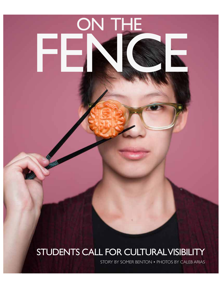## STUDENTS CALL FOR CULTURAL VISIBILITY

14 CARPE DIEM • December 2016

ON THE

FENCE.

STORY BY SOMER BENTON • PHOTOS BY CALEB ARIAS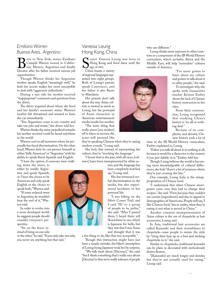### *Emiliano Warren Buenos Aires, Argentina*

**Born** in New York, senior Emiliano<br>Campili Warren moved to Califor-<br>Decatur after his father received various job Campili Warren moved to California, Mexico, Argentina and finally Decatur after his father received various job opportunities.

Though Warren thinks his Argentine mother speaks English "amazingly well," he feels her accent makes her more susceptible to deal with "aggressive individuals."

During a taxi ride his mother received "inappropriate" comments and questions from the driver.

The driver inquired about where she lived and her family's economic status. Warren's mother felt threatened and wanted to leave the car immediately.

"You Argentines come in our country and take our jobs and estate," the driver told her.

Warren thinks the same prejudiced remarks his mother received could be heard anywhere in the world.

Warren can't recall moments where he personally has faced discrimination. On the other hand, Warren feels he can present himself as either "fully American" or "Argentine" with his ability to speak fuent Spanish and English.

"I have the option, if someone were walk-

ing down the street, to either be totally Argentine and speak Spanish, or I have the choice to be American and only speak English or the choice to speak both," Warren said.

"If some redneck went to Argentina, he wouldn't hear the end of it," Warren said.

In order to evolve into a more developed world, he suggests people should consider everyone's perspective.

"Sit on the fence instead of being on one side

or the other," he said. "If you only take one side, you never see anything but that side."

#### Vanessa Leung Hong Kong, China

Memor Vanessa Ed Hong Kong and live enior Vanessa Leung was born in Hong Kong and lived there until the age of two.

of regional languages separated into eight groups. Both of Leung's parents speak Cantonese, and her father is also fuent in Mandarin.

Her parents don't talk about the way Asian culture is viewed as much as Leung, but the portrayal of Asian characters in American entertainment media insults her mother.

"The main thing that really pisses [my mother] of is when in movies, the actor will pretend like

they're speaking Chinese when they're saying random sounds," Leung said.

She feels that instead of representing the culture, they're "mocking the language."

"I know that in the past, with all races, [cultures] have been misrepresented by white ac-

> tors, and the language has been completely botched up," Leung said.

> She has witnessed verbal discrimination in the media, but also experienced incidents in her personal life.

"I was biking on the Silver Comet Trail, and I said 'Hi' to a group of people to be polite," she said. "After I passed them, I heard them yell 'Konichiwa' to me, which is Japanese for hello, but they saw that I was Asian and thought that it was

a fun thing to do, like that was acceptable."

Though this interaction might have just been a simple mistake, the bikers' assumption of Leung being Japanese took her by surprise.

"We talk trash about [Decatur]," she said, "but I think something that's really nice about [Decatur] is that we're really tolerant of people

who are diferent."

Leung thinks more exposure to other countries as a component of the IB World History curriculum, which includes Africa and the Middle East, will help "normalize" cultures outside of America.

> "I've never gotten to learn about my culture and gotten to talk about it to other people," she said.

> To investigate why, she spoke with humanities teacher Kristen Embry about the lack of Chinese history instruction in her class.

> From their conversation, Leung recognized that studying China's history is "an all or nothing deal."

> Because of its complexity and density, Chinese history took a lot of

time in the IB World History curriculum, Embry explained to Leung.

"Either you talk all about it or nothing at all, because it would be a disservice to the country if you just dabble in it," Embry told her.

Though Leung believes the world is becoming more knowledgeable of cultural diferences, she feels "there's a lot of instances where they're just crossing the line."

One example, Leung feels, is the misappropriation of Chinese food.

"I understand that when Chinese immigrants came over, they had to change their recipes," she said. "First, because they couldn't use certain [ingredients] and also to appeal to demographics of Americans. People will say, 'I like Chinese food,' but in reality, what they're eating is not what is served in China."

Another common misrepresentation of Asian culture is the use of chopsticks as hair accessories, Leung said.

In Asia, traditional hair accessories are called Kanzashi and their resemblance to chopsticks cause people to mimic the style by "tying their hair up in a bun and sticking chopsticks in it," she said.

Similar to chopsticks, traditional kanzashi can be plain or decorated with meticulously drawn flowers.

"[Kanzashi] are much longer and slender, but they're not actually used for eating," Leung said



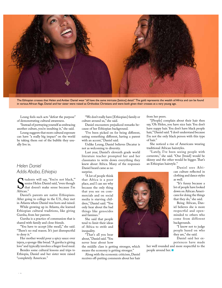

The Ethiopian crosses that Helen and Amber Daniel wear "all have the same intricate [lattice] detail." The gold represents the wealth of Africa and can be found in various African fags. Daniel and her sister were raised as Orthodox Christians and were both given their crosses at a very young age.

Leung feels such acts "defeat the purpose" of demonstrating cultural awareness.

"Instead of portraying yourself as embracing another culture, you're insulting it," she said.

Leung suggests that more cultural exposure can have "a really big impact" on the world by taking them out of the bubble they usually live in.

#### *Helen Daniel Addis Ababa, Ethiopia*

Sten<br>African." tudents will say, 'You're not black,'" senior Helen Daniel said, "even though that doesn't make sense because I'm

Daniel's parents are native Ethiopians. After going to college in the U.S., they met in Atlanta where Daniel was born and raised.

While growing up in Atlanta, she learned Ethiopian cultural traditions, like giving Gursha, from her parents.

Gursha is a practice of communion that is shared with family and close friends.

"You have to accept [the meal]," she said. "There's no real reason. It's just disrespectful to deny it."

Her mother would pour a spicy sauce over injera, a sponge-like bread. "A gursha is giving love" and typically involves a fnger food meal.

Besides some cultural lessons and trips to Ethiopia, Daniel and her sister were raised "completely American."

"We don't really have [Ethiopian] family or culture around us," she said.

Daniel encounters prejudiced remarks because of her Ethiopian background.

"I've been picked on for being diferent, eating something diferent, having a parent with an accent," Daniel said.

Unlike Leung, Daniel believes Decatur is not as welcoming to diversity.

Last year, Daniel's eleventh grade world literature teacher prompted her and her classmates to write down everything they knew about Africa. Many of the responses Daniel heard came as no surprise.

"A lot of people think that Africa is a poor place, and I can see why because the only thing that you see on commercials and on social media is starving children," Daniel said. "You only hear about the bad things like genocides and famines."

She said that people tend to limit their ideas of Africa to strife and inequality.

"That's all you hear about," Daniel said. "You never hear about how

the middle class is getting stronger, which means the economy is getting stronger."

Along with the economic criticism, Daniel receives off-putting comments about her hair from her peers.

"[People] complain about their hair then say, 'Oh Helen, you have nice hair. You don't have nappy hair. You don't have black people hair,'" Daniel said. "I don't understand because I'm not the only black person with this type of hair."

She noticed a rise of Americans wearing traditional African hairstyles.

"Lately, I've been seeing people with cornrows," she said. "One [braid] would be skinny and the other would be bigger. That's an Ethiopian hairstyle."

> Daniel sees African culture refected in clothing and dance styles as well.

"It's funny because a lot of people have looked down on African Americans for doing the things that they do," she said.

Being African, Daniel believes she is more respectful and openminded to others who come from different backgrounds.

"I know not to judge people based on who they are," she said.

Daniel said her experiences have made

her well rounded and more respectful to the people around her.  $\blacksquare$